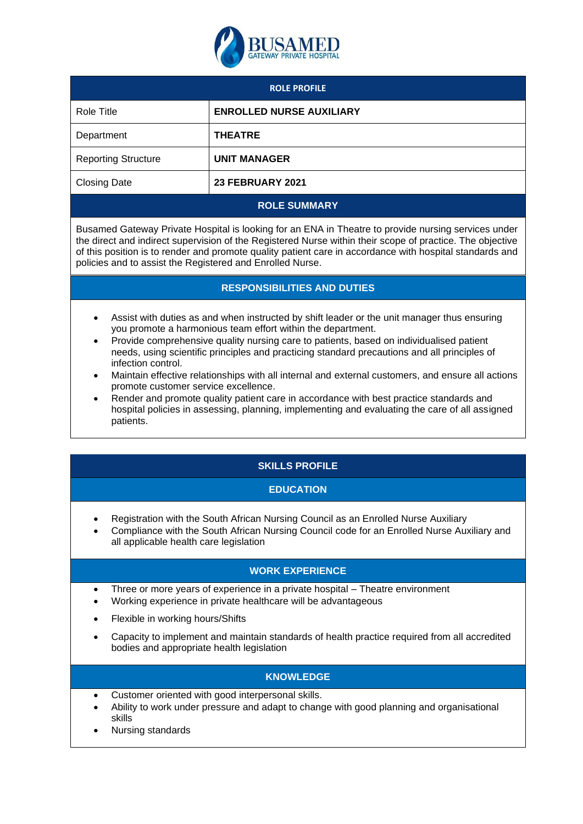

| <b>ROLE PROFILE</b>        |                                 |
|----------------------------|---------------------------------|
| Role Title                 | <b>ENROLLED NURSE AUXILIARY</b> |
| Department                 | <b>THEATRE</b>                  |
| <b>Reporting Structure</b> | <b>UNIT MANAGER</b>             |
| <b>Closing Date</b>        | <b>23 FEBRUARY 2021</b>         |

#### **ROLE SUMMARY**

Busamed Gateway Private Hospital is looking for an ENA in Theatre to provide nursing services under the direct and indirect supervision of the Registered Nurse within their scope of practice. The objective of this position is to render and promote quality patient care in accordance with hospital standards and policies and to assist the Registered and Enrolled Nurse.

## **RESPONSIBILITIES AND DUTIES**

- Assist with duties as and when instructed by shift leader or the unit manager thus ensuring you promote a harmonious team effort within the department.
- Provide comprehensive quality nursing care to patients, based on individualised patient needs, using scientific principles and practicing standard precautions and all principles of infection control.
- Maintain effective relationships with all internal and external customers, and ensure all actions promote customer service excellence.
- Render and promote quality patient care in accordance with best practice standards and hospital policies in assessing, planning, implementing and evaluating the care of all assigned patients.

# **SKILLS PROFILE**

# **EDUCATION**

- Registration with the South African Nursing Council as an Enrolled Nurse Auxiliary
- Compliance with the South African Nursing Council code for an Enrolled Nurse Auxiliary and all applicable health care legislation

#### **WORK EXPERIENCE**

- Three or more years of experience in a private hospital Theatre environment
- Working experience in private healthcare will be advantageous
- Flexible in working hours/Shifts
- Capacity to implement and maintain standards of health practice required from all accredited bodies and appropriate health legislation

#### **KNOWLEDGE**

- Customer oriented with good interpersonal skills.
- Ability to work under pressure and adapt to change with good planning and organisational skills
- Nursing standards